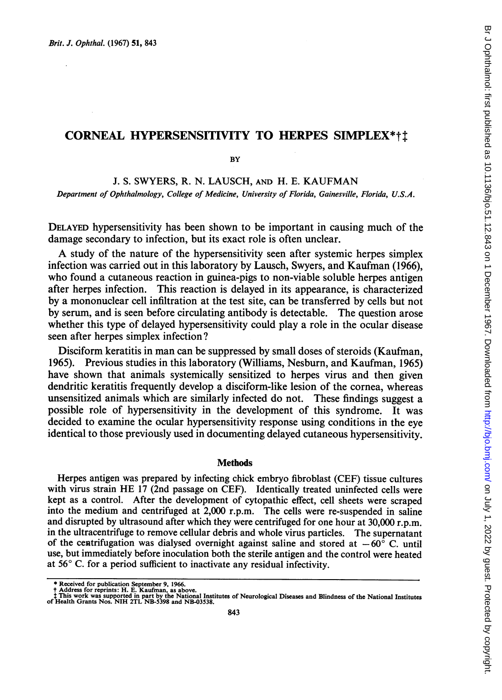# CORNEAL HYPERSENSITIVITY TO HERPES SIMPLEX\*tt

**BY** 

J. S. SWYERS, R. N. LAUSCH, AND H. E. KAUFMAN Department of Ophthalmology, College of Medicine, University of Florida, Gainesville, Florida, U.S.A.

DELAYED hypersensitivity has been shown to be important in causing much of the damage secondary to infection, but its exact role is often unclear.

A study of the nature of the hypersensitivity seen after systemic herpes simplex infection was carried out in this laboratory by Lausch, Swyers, and Kaufman (1966), who found a cutaneous reaction in guinea-pigs to non-viable soluble herpes antigen after herpes infection. This reaction is delayed in its appearance, is characterized by a mononuclear cell infiltration at the test site, can be transferred by cells but not by serum, and is seen before circulating antibody is detectable. The question arose whether this type of delayed hypersensitivity could play a role in the ocular disease seen after herpes simplex infection?

Disciform keratitis in man can be suppressed by small doses of steroids (Kaufman, 1965). Previous studies in this laboratory (Williams, Nesburn, and Kaufman, 1965) have shown that animals systemically sensitized to herpes virus and then given dendritic keratitis frequently develop a disciform-like lesion of the cornea, whereas unsensitized animals which are similarly infected do not. These findings suggest a possible role of hypersensitivity in the development of this syndrome. It was decided to examine the ocular hypersensitivity response using conditions in the eye identical to those previously used in documenting delayed cutaneous hypersensitivity.

### **Methods**

Herpes antigen was prepared by infecting chick embryo fibroblast (CEF) tissue cultures with virus strain HE <sup>17</sup> (2nd passage on CEF). Identically treated uninfected cells were kept as a control. After the development of cytopathic effect, cell sheets were scraped into the medium and centrifuged at 2,000 r.p.m. The cells were re-suspended in saline and disrupted by ultrasound after which they were centrifuged for one hour at 30,000 r.p.m. in the ultracentrifuge to remove cellular debris and whole virus particles. The supernatant of the centrifugation was dialysed overnight against saline and stored at  $-60^{\circ}$  C. until use, but immediately before inoculation both the sterile antigen and the control were heated at  $56^{\circ}$  C. for a period sufficient to inactivate any residual infectivity.

<sup>\*</sup> Received for publication September 9, 1966.<br>† Address for reprints: H. E. Kaufman, as above.<br>‡ This work was supported in part by the National Institutes of Neurological Diseases and Blindness of the National Institutes<br>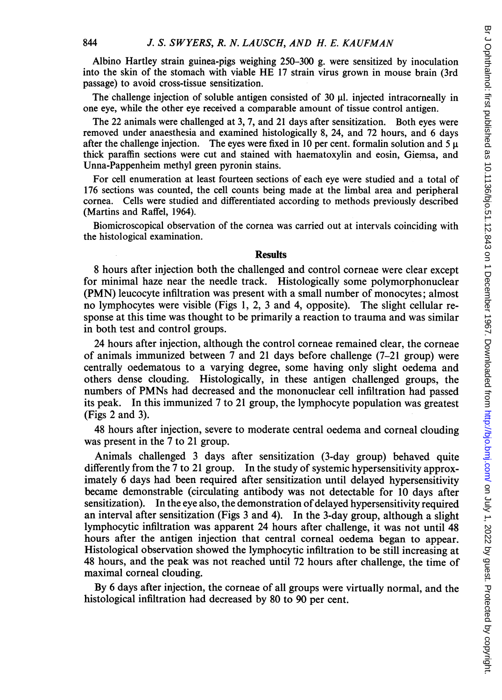Albino Hartley strain guinea-pigs weighing 250-300 g. were sensitized by inoculation into the skin of the stomach with viable HE <sup>17</sup> strain virus grown in mouse brain (3rd passage) to avoid cross-tissue sensitization.

The challenge injection of soluble antigen consisted of 30  $\mu$ . injected intracorneally in one eye, while the other eye received a comparable amount of tissue control antigen.

The 22 animals were challenged at 3, 7, and 21 days after sensitization. Both eyes were removed under anaesthesia and examined histologically 8, 24, and 72 hours, and 6 days after the challenge injection. The eyes were fixed in 10 per cent. formalin solution and  $5 \mu$ thick paraffin sections were cut and stained with haematoxylin and eosin, Giemsa, and Unna-Pappenheim methyl green pyronin stains.

For cell enumeration at least fourteen sections of each eye were studied and a total of 176 sections was counted, the cell counts being made at the limbal area and peripheral cornea. Cells were studied and differentiated according to methods previously described (Martins and Raffel, 1964).

Biomicroscopical observation of the cornea was carried out at intervals coinciding with the histological examination.

## **Results**

8 hours after injection both the challenged and control corneae were clear except for minimal haze near the needle track. Histologically some polymorphonuclear (PMN) leucocyte infiltration was present with a small number of monocytes; almost no lymphocytes were visible (Figs 1, 2, 3 and 4, opposite). The slight cellular response at this time was thought to be primarily a reaction to trauma and was similar in both test and control groups.

24 hours after injection, although the control corneae remained clear, the corneae of animals immunized between 7 and 21 days before challenge (7-21 group) were centrally oedematous to a varying degree, some having only slight oedema and others dense clouding. Histologically, in these antigen challenged groups, the numbers of PMNs had decreased and the mononuclear cell infiltration had passed its peak. In this immunized 7 to 21 group, the lymphocyte population was greatest (Figs 2 and 3).

48 hours after injection, severe to moderate central oedema and corneal clouding was present in the 7 to 21 group.

Animals challenged 3 days after sensitization (3-day group) behaved quite differently from the 7 to 21 group. In the study of systemic hypersensitivity approximately 6 days had been required after sensitization until delayed hypersensitivity became demonstrable (circulating antibody was not detectable for 10 days after sensitization). In the eye also, the demonstration of delayed hypersensitivity required an interval after sensitization (Figs 3 and 4). In the 3-day group, although a slight lymphocytic infiltration was apparent 24 hours after challenge, it was not until 48 hours after the antigen injection that central corneal oedema began to appear. Histological observation showed the lymphocytic infiltration to be still increasing at 48 hours, and the peak was not reached until 72 hours after challenge, the time of maximal corneal clouding.

By 6 days after injection, the corneae of all groups were virtually normal, and the histological infiltration had decreased by 80 to 90 per cent.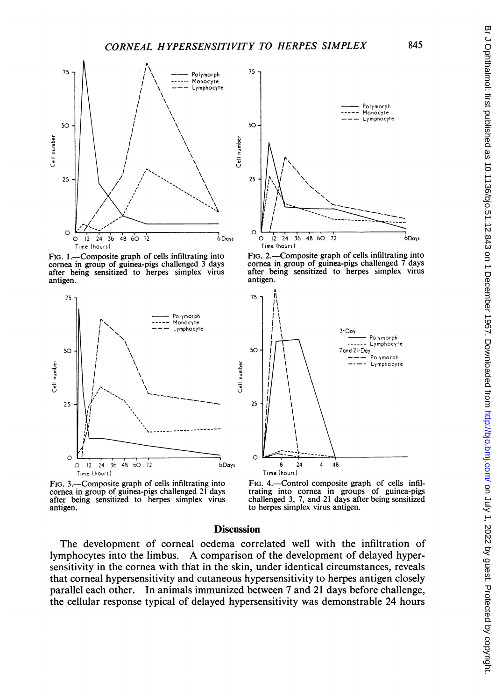

FIG. 1.-Composite graph of cells infiltrating into cornea in group of guinea-pigs challenged 3 days after being sensitized to herpes simplex virus antigen.



FIG. 3.—Composite graph of cells infiltrating into cornea in group of guinea-pigs challenged 21 days after being sensitized to herpes simplex virus antigen.

## **Discussion**

Cell number

The development of corneal oedema correlated well with the infiltration of lymphocytes into the limbus. A comparison of the development of delayed hypersensitivity in the cornea with that in the skin, under identical circumstances, reveals that corneal hypersensitivity and cutaneous hypersensitivity to herpes antigen closely parallel each other. In animals immunized between 7 and 21 days before challenge, the cellular response typical of delayed hypersensitivity was demonstrable 24 hours



FIG. 2.—Composite graph of cells infiltrating into cornea in group of guinea-pigs challenged 7 days after being sensitized to herpes simplex virus antigen.



FIG. 4.-Control composite graph of cells infiltrating into cornea in groups of guinea-pigs challenged 3, 7, and 21 days after being sensitized to herpes simplex virus antigen.